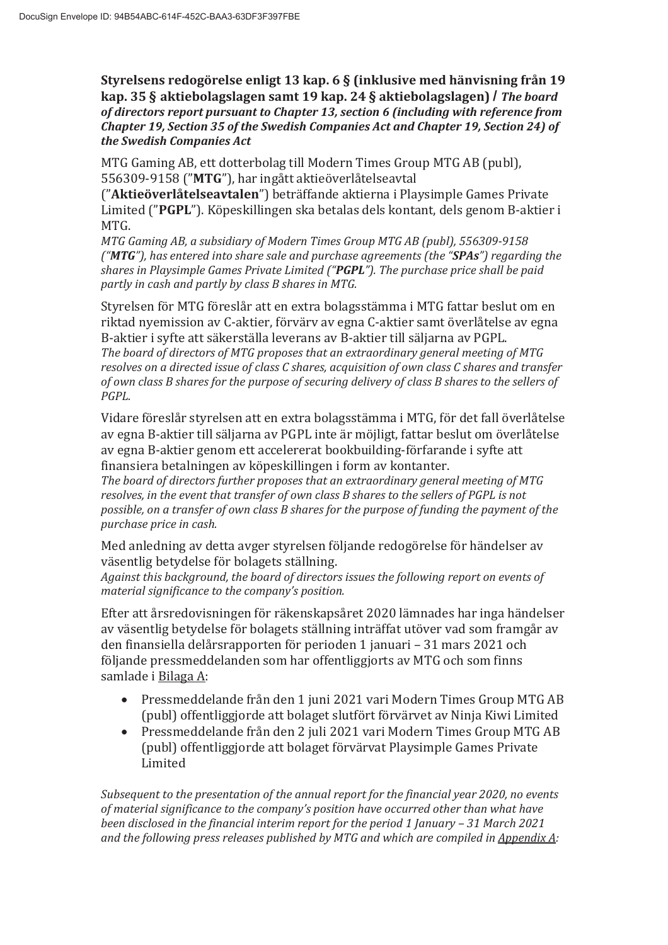Styrelsens redogörelse enligt 13 kap. 6 § (inklusive med hänvisning från 19 kap. 35 § aktiebolagslagen samt 19 kap. 24 § aktiebolagslagen) / *The board of directors report pursuant to Chapter 13, section 6 (including with reference from Chapter 19, Section 35 of the Swedish Companies Act and Chapter 19, Section 24) of the Swedish Companies Act*

MTG Gaming AB, ett dotterbolag till Modern Times Group MTG AB (publ), 556309-9158 ("MTG"), har ingått aktieöverlåtelseavtal

("Aktieöverlåtelseavtalen") beträffande aktierna i Playsimple Games Private Limited ("PGPL"). Köpeskillingen ska betalas dels kontant, dels genom B-aktier i MTG.

*MTG Gaming AB, a subsidiary of Modern Times Group MTG AB (publ), 556309-9158 ("MTG"), has entered into share sale and purchase agreements (the "SPAs") regarding the shares in Playsimple Games Private Limited ("PGPL"). The purchase price shall be paid partly in cash and partly by class B shares in MTG.*

Styrelsen för MTG föreslår att en extra bolagsstämma i MTG fattar beslut om en riktad nyemission av C-aktier, förvärv av egna C-aktier samt överlåtelse av egna B-aktier i syfte att säkerställa leverans av B-aktier till säljarna av PGPL. *The board of directors of MTG proposes that an extraordinary general meeting of MTG resolves on a directed issue of class C shares, acquisition of own class C shares and transfer of own class B shares for the purpose of securing delivery of class B shares to the sellers of PGPL.* 

Vidare föreslår styrelsen att en extra bolagsstämma i MTG, för det fall överlåtelse av egna B-aktier till säljarna av PGPL inte är möjligt, fattar beslut om överlåtelse av egna B-aktier genom ett accelererat bookbuilding-förfarande i syfte att finansiera betalningen av köpeskillingen i form av kontanter.

*The board of directors further proposes that an extraordinary general meeting of MTG resolves, in the event that transfer of own class B shares to the sellers of PGPL is not possible, on a transfer of own class B shares for the purpose of funding the payment of the purchase price in cash.* 

Med anledning av detta avger styrelsen följande redogörelse för händelser av väsentlig betydelse för bolagets ställning.

*Against this background, the board of directors issues the following report on events of material significance to the company's position.*

Efter att årsredovisningen för räkenskapsåret 2020 lämnades har inga händelser av väsentlig betydelse för bolagets ställning inträffat utöver vad som framgår av den finansiella delårsrapporten för perioden 1 januari – 31 mars 2021 och följande pressmeddelanden som har offentliggjorts av MTG och som finns samlade i Bilaga A:

- Pressmeddelande från den 1 juni 2021 vari Modern Times Group MTG AB (publ) offentliggjorde att bolaget slutfört förvärvet av Ninja Kiwi Limited
- Pressmeddelande från den 2 juli 2021 vari Modern Times Group MTG AB (publ) offentliggjorde att bolaget förvärvat Playsimple Games Private Limited

*Subsequent to the presentation of the annual report for the financial year 2020, no events of material significance to the company's position have occurred other than what have been disclosed in the financial interim report for the period 1 January – 31 March 2021 and the following press releases published by MTG and which are compiled in Appendix A:*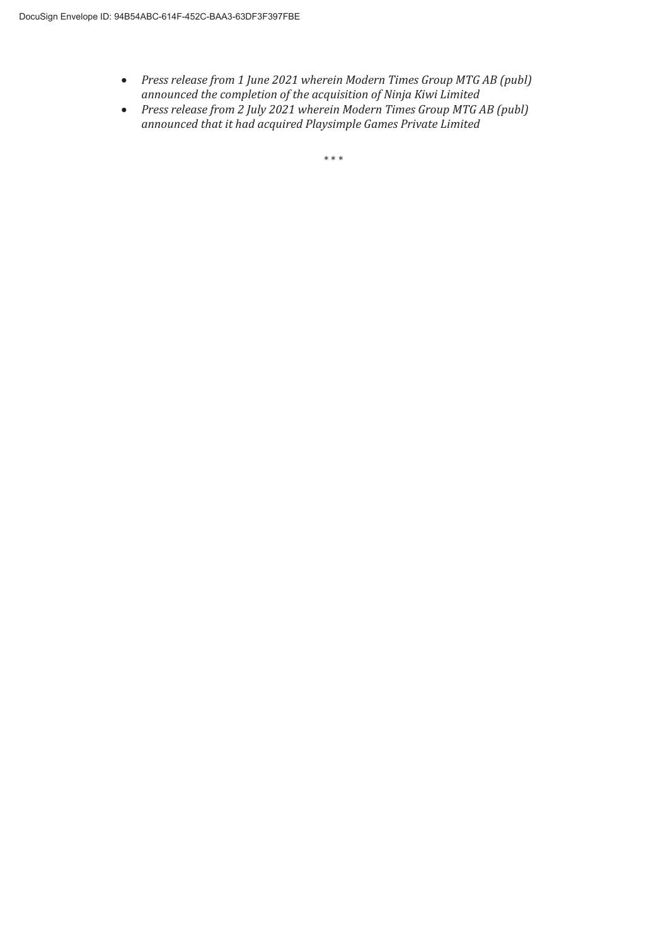- x *Press release from 1 June 2021 wherein Modern Times Group MTG AB (publ) announced the completion of the acquisition of Ninja Kiwi Limited*
- x *Press release from 2 July 2021 wherein Modern Times Group MTG AB (publ) announced that it had acquired Playsimple Games Private Limited*

 $***$